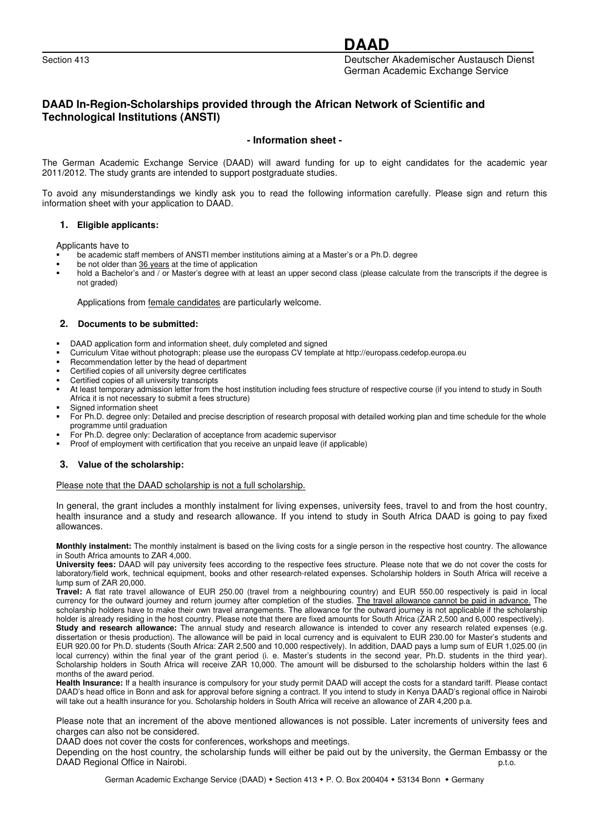# **DAAD**

Section 413 Deutscher Akademischer Austausch Dienst German Academic Exchange Service

# **DAAD In-Region-Scholarships provided through the African Network of Scientific and Technological Institutions (ANSTI)**

# **- Information sheet -**

The German Academic Exchange Service (DAAD) will award funding for up to eight candidates for the academic year 2011/2012. The study grants are intended to support postgraduate studies.

To avoid any misunderstandings we kindly ask you to read the following information carefully. Please sign and return this information sheet with your application to DAAD.

#### **1. Eligible applicants:**

Applicants have to

- be academic staff members of ANSTI member institutions aiming at a Master's or a Ph.D. degree
- be not older than 36 years at the time of application
- hold a Bachelor's and / or Master's degree with at least an upper second class (please calculate from the transcripts if the degree is not graded)

Applications from female candidates are particularly welcome.

#### **2. Documents to be submitted:**

- -DAAD application form and information sheet, duly completed and signed
- -Curriculum Vitae without photograph; please use the europass CV template at http://europass.cedefop.europa.eu
- -Recommendation letter by the head of department
- -Certified copies of all university degree certificates
- -Certified copies of all university transcripts
- - At least temporary admission letter from the host institution including fees structure of respective course (if you intend to study in South Africa it is not necessary to submit a fees structure)
- -Signed information sheet
- - For Ph.D. degree only: Detailed and precise description of research proposal with detailed working plan and time schedule for the whole programme until graduation
- -For Ph.D. degree only: Declaration of acceptance from academic supervisor
- -Proof of employment with certification that you receive an unpaid leave (if applicable)

#### **3. Value of the scholarship:**

Please note that the DAAD scholarship is not a full scholarship.

In general, the grant includes a monthly instalment for living expenses, university fees, travel to and from the host country, health insurance and a study and research allowance. If you intend to study in South Africa DAAD is going to pay fixed allowances.

**Monthly instalment:** The monthly instalment is based on the living costs for a single person in the respective host country. The allowance in South Africa amounts to ZAR 4,000.

**University fees:** DAAD will pay university fees according to the respective fees structure. Please note that we do not cover the costs for laboratory/field work, technical equipment, books and other research-related expenses. Scholarship holders in South Africa will receive a lump sum of ZAR 20,000.

**Travel:** A flat rate travel allowance of EUR 250.00 (travel from a neighbouring country) and EUR 550.00 respectively is paid in local currency for the outward journey and return journey after completion of the studies. The travel allowance cannot be paid in advance. The scholarship holders have to make their own travel arrangements. The allowance for the outward journey is not applicable if the scholarship holder is already residing in the host country. Please note that there are fixed amounts for South Africa (ZAR 2,500 and 6,000 respectively).

Study and research allowance: The annual study and research allowance is intended to cover any research related expenses (e.g. dissertation or thesis production). The allowance will be paid in local currency and is equivalent to EUR 230.00 for Master's students and EUR 920.00 for Ph.D. students (South Africa: ZAR 2,500 and 10,000 respectively). In addition, DAAD pays a lump sum of EUR 1,025.00 (in local currency) within the final year of the grant period (i. e. Master's students in the second year, Ph.D. students in the third year). Scholarship holders in South Africa will receive ZAR 10,000. The amount will be disbursed to the scholarship holders within the last 6 months of the award period.

**Health Insurance:** If a health insurance is compulsory for your study permit DAAD will accept the costs for a standard tariff. Please contact DAAD's head office in Bonn and ask for approval before signing a contract. If you intend to study in Kenya DAAD's regional office in Nairobi will take out a health insurance for you. Scholarship holders in South Africa will receive an allowance of ZAR 4,200 p.a.

Please note that an increment of the above mentioned allowances is not possible. Later increments of university fees and charges can also not be considered.

DAAD does not cover the costs for conferences, workshops and meetings.

Depending on the host country, the scholarship funds will either be paid out by the university, the German Embassy or the DAAD Regional Office in Nairobi. p.t.o.